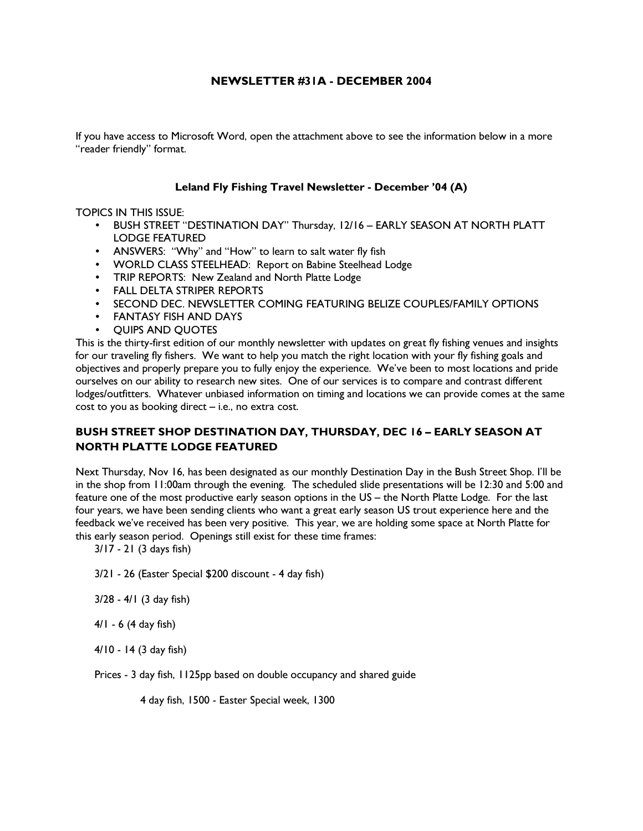# NEWSLETTER #31A - DECEMBER 2004

If you have access to Microsoft Word, open the attachment above to see the information below in a more "reader friendly" format.

## Leland Fly Fishing Travel Newsletter - December '04 (A)

## TOPICS IN THIS ISSUE:

- BUSH STREET "DESTINATION DAY" Thursday, 12/16 EARLY SEASON AT NORTH PLATT LODGE FEATURED
- ANSWERS: "Why" and "How" to learn to salt water fly fish
- WORLD CLASS STEELHEAD: Report on Babine Steelhead Lodge
- TRIP REPORTS: New Zealand and North Platte Lodge
- FALL DELTA STRIPER REPORTS
- SECOND DEC. NEWSLETTER COMING FEATURING BELIZE COUPLES/FAMILY OPTIONS
- FANTASY FISH AND DAYS
- QUIPS AND QUOTES

This is the thirty-first edition of our monthly newsletter with updates on great fly fishing venues and insights for our traveling fly fishers. We want to help you match the right location with your fly fishing goals and objectives and properly prepare you to fully enjoy the experience. We've been to most locations and pride ourselves on our ability to research new sites. One of our services is to compare and contrast different lodges/outfitters. Whatever unbiased information on timing and locations we can provide comes at the same cost to you as booking direct – i.e., no extra cost.

# BUSH STREET SHOP DESTINATION DAY, THURSDAY, DEC 16 – EARLY SEASON AT NORTH PLATTE LODGE FEATURED

Next Thursday, Nov 16, has been designated as our monthly Destination Day in the Bush Street Shop. I'll be in the shop from 11:00am through the evening. The scheduled slide presentations will be 12:30 and 5:00 and feature one of the most productive early season options in the US – the North Platte Lodge. For the last four years, we have been sending clients who want a great early season US trout experience here and the feedback we've received has been very positive. This year, we are holding some space at North Platte for this early season period. Openings still exist for these time frames:

3/17 - 21 (3 days fish)

- 3/21 26 (Easter Special \$200 discount 4 day fish)
- 3/28 4/1 (3 day fish)
- 4/1 6 (4 day fish)
- 4/10 14 (3 day fish)

Prices - 3 day fish, 1125pp based on double occupancy and shared guide

4 day fish, 1500 - Easter Special week, 1300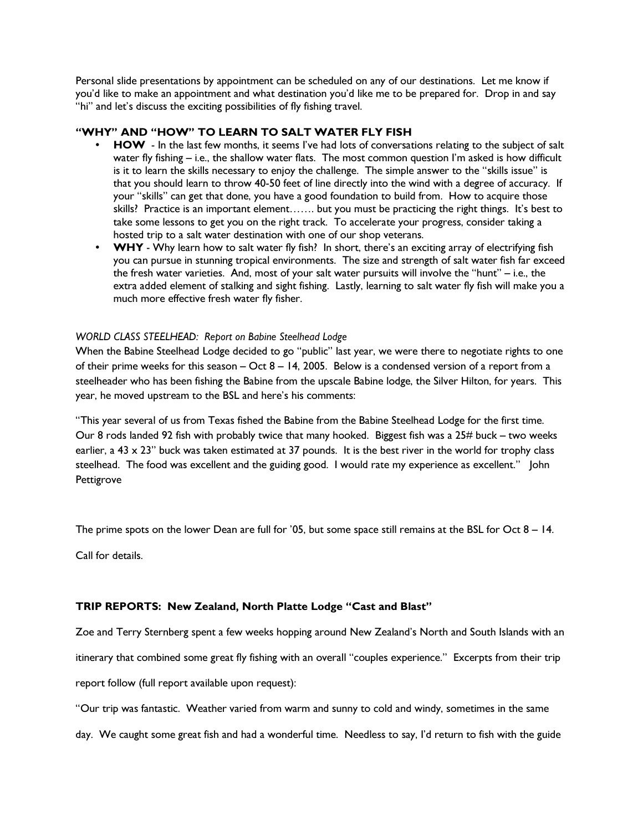Personal slide presentations by appointment can be scheduled on any of our destinations. Let me know if you'd like to make an appointment and what destination you'd like me to be prepared for. Drop in and say "hi" and let's discuss the exciting possibilities of fly fishing travel.

## "WHY" AND "HOW" TO LEARN TO SALT WATER FLY FISH

- HOW In the last few months, it seems I've had lots of conversations relating to the subject of salt water fly fishing – i.e., the shallow water flats. The most common question I'm asked is how difficult is it to learn the skills necessary to enjoy the challenge. The simple answer to the "skills issue" is that you should learn to throw 40-50 feet of line directly into the wind with a degree of accuracy. If your "skills" can get that done, you have a good foundation to build from. How to acquire those skills? Practice is an important element……. but you must be practicing the right things. It's best to take some lessons to get you on the right track. To accelerate your progress, consider taking a hosted trip to a salt water destination with one of our shop veterans.
- WHY Why learn how to salt water fly fish? In short, there's an exciting array of electrifying fish you can pursue in stunning tropical environments. The size and strength of salt water fish far exceed the fresh water varieties. And, most of your salt water pursuits will involve the "hunt" – i.e., the extra added element of stalking and sight fishing. Lastly, learning to salt water fly fish will make you a much more effective fresh water fly fisher.

## WORLD CLASS STEELHEAD: Report on Babine Steelhead Lodge

When the Babine Steelhead Lodge decided to go "public" last year, we were there to negotiate rights to one of their prime weeks for this season – Oct 8 – 14, 2005. Below is a condensed version of a report from a steelheader who has been fishing the Babine from the upscale Babine lodge, the Silver Hilton, for years. This year, he moved upstream to the BSL and here's his comments:

"This year several of us from Texas fished the Babine from the Babine Steelhead Lodge for the first time. Our 8 rods landed 92 fish with probably twice that many hooked. Biggest fish was a 25# buck – two weeks earlier, a 43  $\times$  23" buck was taken estimated at 37 pounds. It is the best river in the world for trophy class steelhead. The food was excellent and the guiding good. I would rate my experience as excellent." John Pettigrove

The prime spots on the lower Dean are full for '05, but some space still remains at the BSL for Oct 8 – 14.

Call for details.

## TRIP REPORTS: New Zealand, North Platte Lodge "Cast and Blast"

Zoe and Terry Sternberg spent a few weeks hopping around New Zealand's North and South Islands with an

itinerary that combined some great fly fishing with an overall "couples experience." Excerpts from their trip

report follow (full report available upon request):

"Our trip was fantastic. Weather varied from warm and sunny to cold and windy, sometimes in the same

day. We caught some great fish and had a wonderful time. Needless to say, I'd return to fish with the guide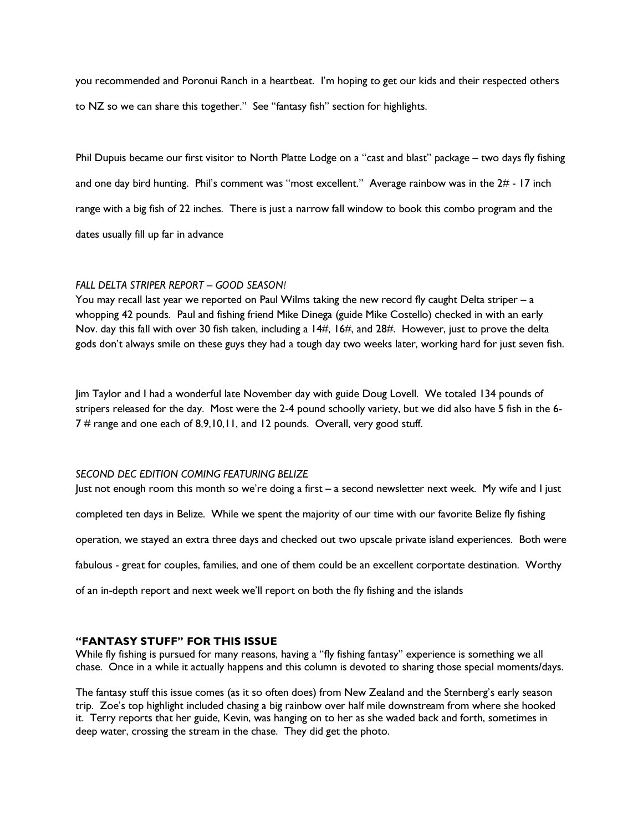you recommended and Poronui Ranch in a heartbeat. I'm hoping to get our kids and their respected others to NZ so we can share this together." See "fantasy fish" section for highlights.

Phil Dupuis became our first visitor to North Platte Lodge on a "cast and blast" package – two days fly fishing and one day bird hunting. Phil's comment was "most excellent." Average rainbow was in the 2# - 17 inch range with a big fish of 22 inches. There is just a narrow fall window to book this combo program and the dates usually fill up far in advance

#### FALL DELTA STRIPER REPORT – GOOD SEASON!

You may recall last year we reported on Paul Wilms taking the new record fly caught Delta striper - a whopping 42 pounds. Paul and fishing friend Mike Dinega (guide Mike Costello) checked in with an early Nov. day this fall with over 30 fish taken, including a 14#, 16#, and 28#. However, just to prove the delta gods don't always smile on these guys they had a tough day two weeks later, working hard for just seven fish.

Jim Taylor and I had a wonderful late November day with guide Doug Lovell. We totaled 134 pounds of stripers released for the day. Most were the 2-4 pound schoolly variety, but we did also have 5 fish in the 6- 7 # range and one each of 8,9,10,11, and 12 pounds. Overall, very good stuff.

## SECOND DEC EDITION COMING FEATURING BELIZE

Just not enough room this month so we're doing a first – a second newsletter next week. My wife and I just completed ten days in Belize. While we spent the majority of our time with our favorite Belize fly fishing operation, we stayed an extra three days and checked out two upscale private island experiences. Both were fabulous - great for couples, families, and one of them could be an excellent corportate destination. Worthy of an in-depth report and next week we'll report on both the fly fishing and the islands

## "FANTASY STUFF" FOR THIS ISSUE

While fly fishing is pursued for many reasons, having a "fly fishing fantasy" experience is something we all chase. Once in a while it actually happens and this column is devoted to sharing those special moments/days.

The fantasy stuff this issue comes (as it so often does) from New Zealand and the Sternberg's early season trip. Zoe's top highlight included chasing a big rainbow over half mile downstream from where she hooked it. Terry reports that her guide, Kevin, was hanging on to her as she waded back and forth, sometimes in deep water, crossing the stream in the chase. They did get the photo.